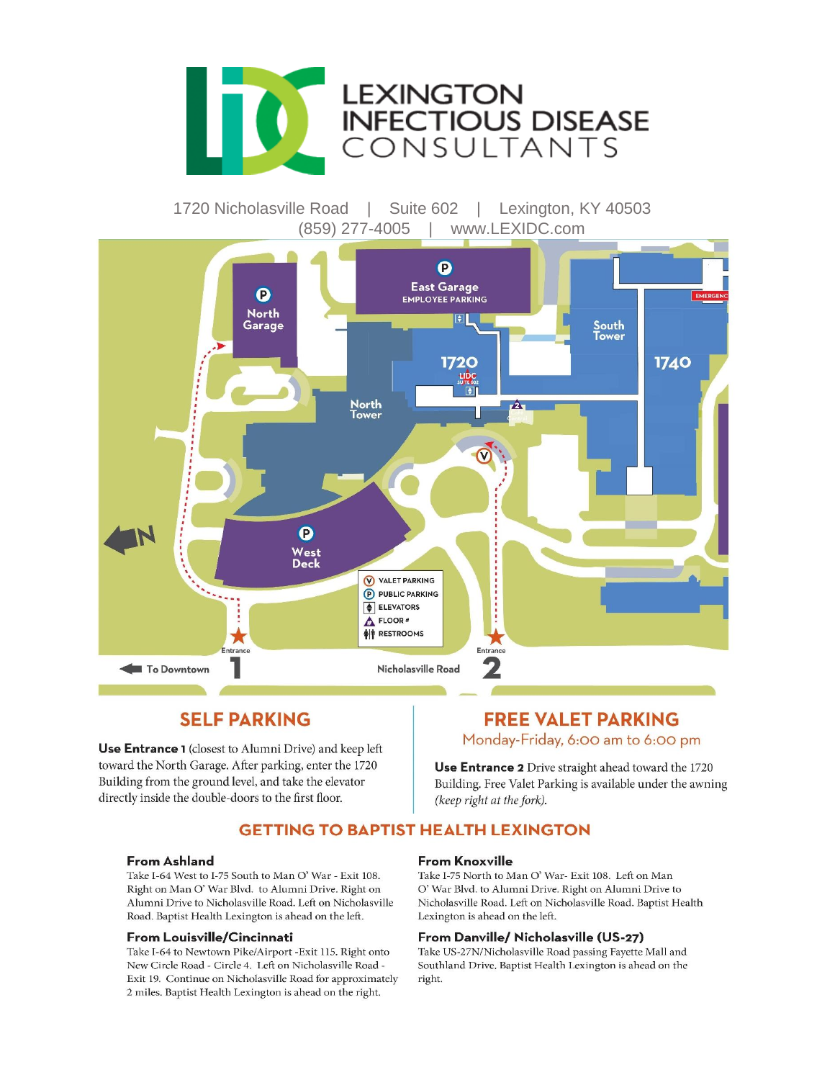

**LEXINGTON** INFECTIOUS DISEASE

1720 Nicholasville Road Suite 602 Lexington, KY 40503  $\Box$ www.LEXIDC.com (859) 277-4005  $\overline{1}$ 



## **SELF PARKING**

Use Entrance 1 (closest to Alumni Drive) and keep left toward the North Garage. After parking, enter the 1720 Building from the ground level, and take the elevator directly inside the double-doors to the first floor.

## **FREE VALET PARKING**

Monday-Friday, 6:00 am to 6:00 pm

Use Entrance 2 Drive straight ahead toward the 1720 Building. Free Valet Parking is available under the awning (keep right at the fork).

## **GETTING TO BAPTIST HEALTH LEXINGTON**

#### **From Ashland**

Take I-64 West to I-75 South to Man O' War - Exit 108. Right on Man O' War Blvd. to Alumni Drive. Right on Alumni Drive to Nicholasville Road. Left on Nicholasville Road. Baptist Health Lexington is ahead on the left.

#### From Louisville/Cincinnati

Take I-64 to Newtown Pike/Airport -Exit 115. Right onto New Circle Road - Circle 4. Left on Nicholasville Road -Exit 19. Continue on Nicholasville Road for approximately 2 miles. Baptist Health Lexington is ahead on the right.

#### **From Knoxville**

Take I-75 North to Man O' War- Exit 108. Left on Man O' War Blvd. to Alumni Drive. Right on Alumni Drive to Nicholasville Road. Left on Nicholasville Road. Baptist Health Lexington is ahead on the left.

#### From Danville/ Nicholasville (US-27)

Take US-27N/Nicholasville Road passing Fayette Mall and Southland Drive. Baptist Health Lexington is ahead on the right.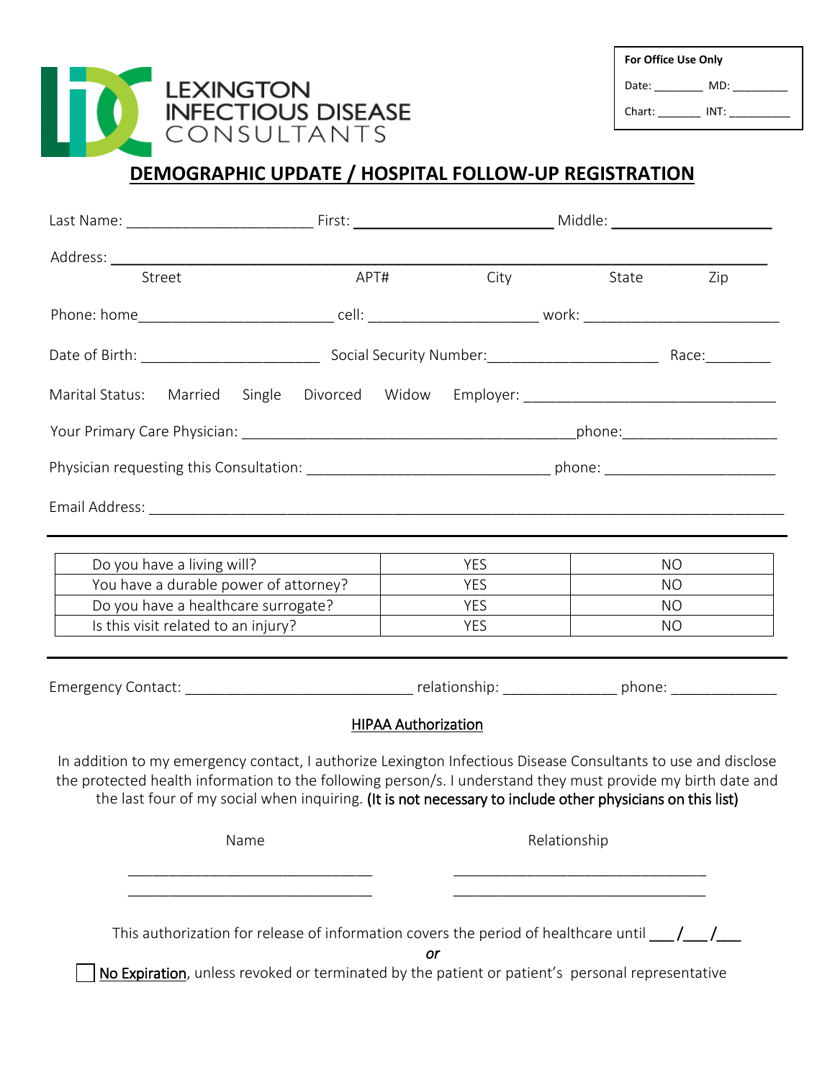

| For Office Use Only |      |  |  |  |
|---------------------|------|--|--|--|
| Date:               | MD:  |  |  |  |
| Chart:              | INT: |  |  |  |

# **DEMOGRAPHIC UPDATE / HOSPITAL FOLLOW-UP REGISTRATION**

| Street                                                                                                                                                                                                                                                                                                                                     | APT# |                            | City       |              | State     | Zip       |
|--------------------------------------------------------------------------------------------------------------------------------------------------------------------------------------------------------------------------------------------------------------------------------------------------------------------------------------------|------|----------------------------|------------|--------------|-----------|-----------|
|                                                                                                                                                                                                                                                                                                                                            |      |                            |            |              |           |           |
|                                                                                                                                                                                                                                                                                                                                            |      |                            |            |              |           |           |
| Marital Status:<br>Married<br>Single                                                                                                                                                                                                                                                                                                       |      |                            |            |              |           |           |
|                                                                                                                                                                                                                                                                                                                                            |      |                            |            |              |           |           |
|                                                                                                                                                                                                                                                                                                                                            |      |                            |            |              |           |           |
|                                                                                                                                                                                                                                                                                                                                            |      |                            |            |              |           |           |
| Do you have a living will?                                                                                                                                                                                                                                                                                                                 |      |                            | <b>YES</b> |              |           | <b>NO</b> |
| You have a durable power of attorney?                                                                                                                                                                                                                                                                                                      |      |                            | <b>YES</b> |              | NO.       |           |
| Do you have a healthcare surrogate?                                                                                                                                                                                                                                                                                                        |      |                            | <b>YES</b> |              | <b>NO</b> |           |
| Is this visit related to an injury?                                                                                                                                                                                                                                                                                                        |      |                            | <b>YES</b> |              |           | <b>NO</b> |
|                                                                                                                                                                                                                                                                                                                                            |      |                            |            |              |           |           |
|                                                                                                                                                                                                                                                                                                                                            |      | <b>HIPAA Authorization</b> |            |              |           |           |
| In addition to my emergency contact, I authorize Lexington Infectious Disease Consultants to use and disclose<br>the protected health information to the following person/s. I understand they must provide my birth date and<br>the last four of my social when inquiring. (It is not necessary to include other physicians on this list) |      |                            |            |              |           |           |
| Name                                                                                                                                                                                                                                                                                                                                       |      |                            |            | Relationship |           |           |
|                                                                                                                                                                                                                                                                                                                                            |      |                            |            |              |           |           |
| This authorization for release of information covers the period of healthcare until $\frac{1}{\sqrt{2}}$                                                                                                                                                                                                                                   |      | or                         |            |              |           |           |
| No Expiration, unless revoked or terminated by the patient or patient's personal representative                                                                                                                                                                                                                                            |      |                            |            |              |           |           |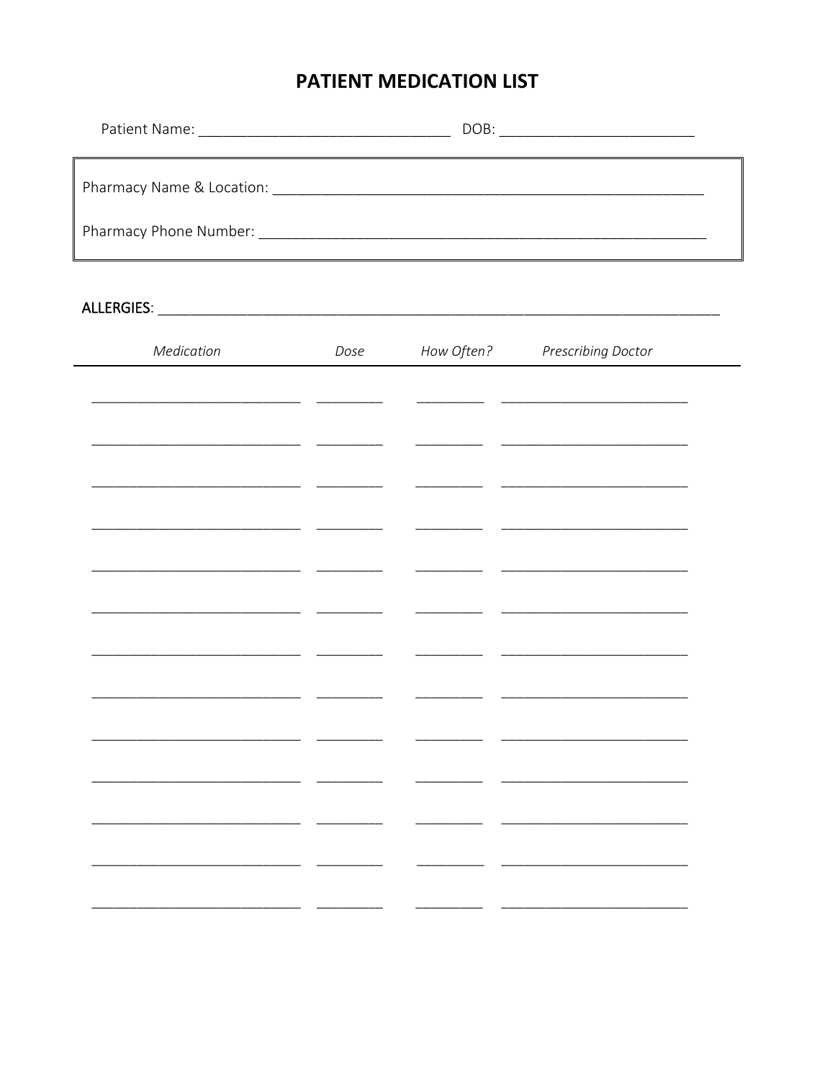# PATIENT MEDICATION LIST

| Medication                                    | Dose |  | How Often? Prescribing Doctor |  |  |  |  |  |
|-----------------------------------------------|------|--|-------------------------------|--|--|--|--|--|
|                                               |      |  |                               |  |  |  |  |  |
|                                               |      |  |                               |  |  |  |  |  |
|                                               |      |  |                               |  |  |  |  |  |
| <u> 1980 - Andrea Andrew Maria (h. 1980).</u> |      |  |                               |  |  |  |  |  |
|                                               |      |  |                               |  |  |  |  |  |
|                                               |      |  |                               |  |  |  |  |  |
|                                               |      |  |                               |  |  |  |  |  |
|                                               |      |  |                               |  |  |  |  |  |
|                                               |      |  |                               |  |  |  |  |  |
|                                               |      |  |                               |  |  |  |  |  |
|                                               |      |  |                               |  |  |  |  |  |
|                                               |      |  |                               |  |  |  |  |  |

 $\overline{\phantom{a}}$ 

 $\sim$